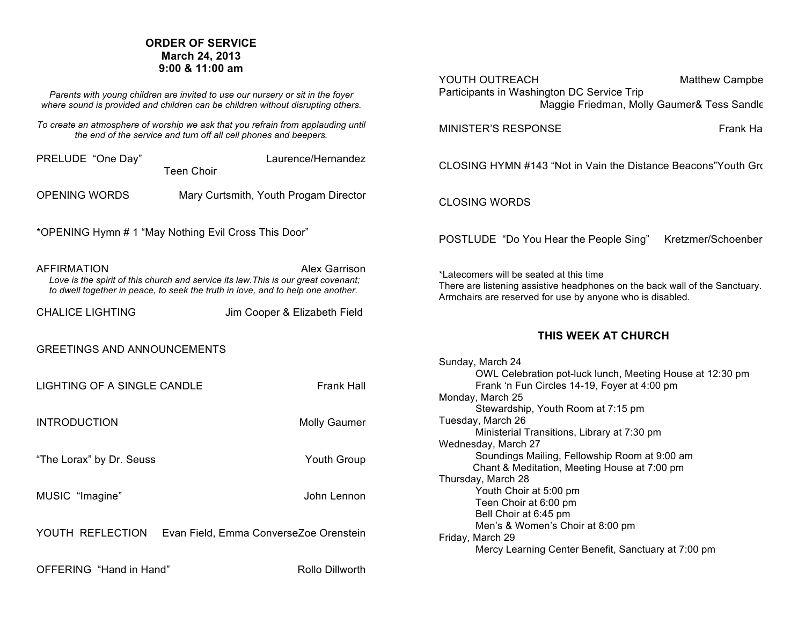# **ORDER OF SERVICE March 24, 2013 9:00 & 11:00 am**

*Parents with young children are invited to use our nursery or sit in the foyer where sound is provided and children can be children without disrupting others.*

*To create an atmosphere of worship we ask that you refrain from applauding until the end of the service and turn off all cell phones and beepers.*

PRELUDE "One Day" Laurence/Hernandez Teen Choir

OPENING WORDS Mary Curtsmith, Youth Progam Director

\*OPENING Hymn # 1 "May Nothing Evil Cross This Door"

AFFIRMATION **ALEX GARRISON** Alex Garrison  *Love is the spirit of this church and service its law.This is our great covenant; to dwell together in peace, to seek the truth in love, and to help one another.* 

CHALICE LIGHTING Jim Cooper & Elizabeth Field

## GREETINGS AND ANNOUNCEMENTS

LIGHTING OF A SINGLE CANDLE FRANK Hall

INTRODUCTION Molly Gaumer

"The Lorax" by Dr. Seuss Youth Group

MUSIC "Imagine" John Lennon

YOUTH REFLECTION Evan Field, Emma ConverseZoe Orenstein

OFFERING "Hand in Hand" Rollo Dillworth

| YOUTH OUTREACH<br>Participants in Washington DC Service Trip                                                                                                                                                                                                                                                                                                                                                                                                 | Matthew Campbe |  |
|--------------------------------------------------------------------------------------------------------------------------------------------------------------------------------------------------------------------------------------------------------------------------------------------------------------------------------------------------------------------------------------------------------------------------------------------------------------|----------------|--|
| Maggie Friedman, Molly Gaumer& Tess Sandle                                                                                                                                                                                                                                                                                                                                                                                                                   |                |  |
| <b>MINISTER'S RESPONSE</b>                                                                                                                                                                                                                                                                                                                                                                                                                                   | Frank Ha       |  |
| CLOSING HYMN #143 "Not in Vain the Distance Beacons"Youth Gro                                                                                                                                                                                                                                                                                                                                                                                                |                |  |
| <b>CLOSING WORDS</b>                                                                                                                                                                                                                                                                                                                                                                                                                                         |                |  |
| POSTLUDE "Do You Hear the People Sing" Kretzmer/Schoenber                                                                                                                                                                                                                                                                                                                                                                                                    |                |  |
| *Latecomers will be seated at this time<br>There are listening assistive headphones on the back wall of the Sanctuary.<br>Armchairs are reserved for use by anyone who is disabled.                                                                                                                                                                                                                                                                          |                |  |
| THIS WEEK AT CHURCH                                                                                                                                                                                                                                                                                                                                                                                                                                          |                |  |
| Sunday, March 24<br>OWL Celebration pot-luck lunch, Meeting House at 12:30 pm<br>Frank 'n Fun Circles 14-19, Foyer at 4:00 pm<br>Monday, March 25<br>Stewardship, Youth Room at 7:15 pm<br>Tuesday, March 26<br>Ministerial Transitions, Library at 7:30 pm<br>Wednesday, March 27<br>Soundings Mailing, Fellowship Room at 9:00 am<br>Chant & Meditation, Meeting House at 7:00 pm<br>Thursday, March 28<br>Youth Choir at 5:00 pm<br>Teen Choir at 6:00 pm |                |  |
| Bell Choir at 6:45 pm<br>Men's & Women's Choir at 8:00 pm<br>Friday, March 29<br>Mercy Learning Center Benefit, Sanctuary at 7:00 pm                                                                                                                                                                                                                                                                                                                         |                |  |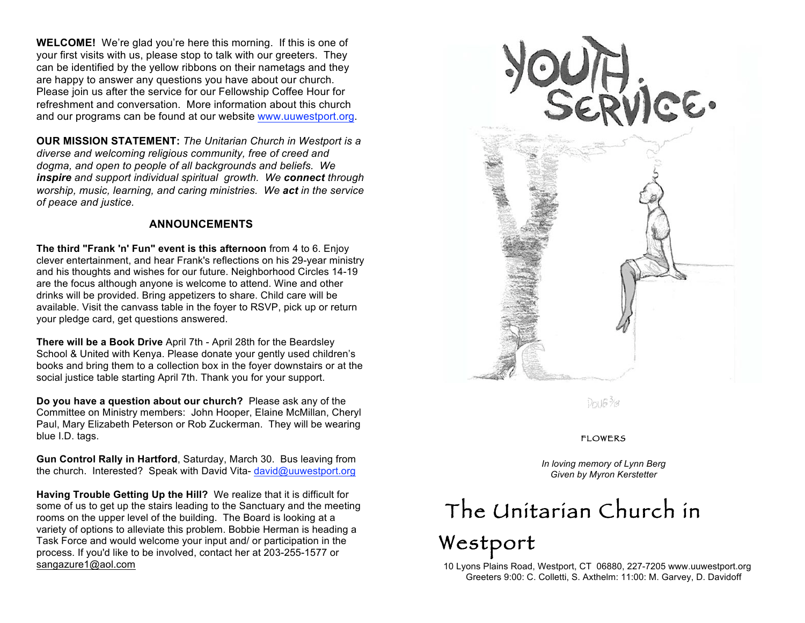**WELCOME!** We're glad you're here this morning. If this is one of your first visits with us, please stop to talk with our greeters. They can be identified by the yellow ribbons on their nametags and they are happy to answer any questions you have about our church. Please join us after the service for our Fellowship Coffee Hour for refreshment and conversation. More information about this church and our programs can be found at our website www.uuwestport.org.

**OUR MISSION STATEMENT:** *The Unitarian Church in Westport is a diverse and welcoming religious community, free of creed and dogma, and open to people of all backgrounds and beliefs. We inspire and support individual spiritual growth. We connect through worship, music, learning, and caring ministries. We act in the service of peace and justice.*

## **ANNOUNCEMENTS**

**The third "Frank 'n' Fun" event is this afternoon** from 4 to 6. Enjoy clever entertainment, and hear Frank's reflections on his 29-year ministry and his thoughts and wishes for our future. Neighborhood Circles 14-19 are the focus although anyone is welcome to attend. Wine and other drinks will be provided. Bring appetizers to share. Child care will be available. Visit the canvass table in the foyer to RSVP, pick up or return your pledge card, get questions answered.

**There will be a Book Drive** April 7th - April 28th for the Beardsley School & United with Kenya. Please donate your gently used children's books and bring them to a collection box in the foyer downstairs or at the social justice table starting April 7th. Thank you for your support.

**Do you have a question about our church?** Please ask any of the Committee on Ministry members:John Hooper, Elaine McMillan, Cheryl Paul, Mary Elizabeth Peterson or Rob Zuckerman. They will be wearing blue I.D. tags.

**Gun Control Rally in Hartford**, Saturday, March 30. Bus leaving from the church. Interested? Speak with David Vita- david@uuwestport.org

**Having Trouble Getting Up the Hill?** We realize that it is difficult for some of us to get up the stairs leading to the Sanctuary and the meeting rooms on the upper level of the building.The Board is looking at a variety of options to alleviate this problem. Bobbie Herman is heading a Task Force and would welcome your input and/ or participation in the process. If you'd like to be involved, contact her at 203-255-1577 or sangazure1@aol.com



Dou6 3/8

#### FLOWERS

*In loving memory of Lynn Berg Given by Myron Kerstetter*

# The Unitarian Church in

# Westport

 10 Lyons Plains Road, Westport, CT 06880, 227-7205 www.uuwestport.org Greeters 9:00: C. Colletti, S. Axthelm: 11:00: M. Garvey, D. Davidoff